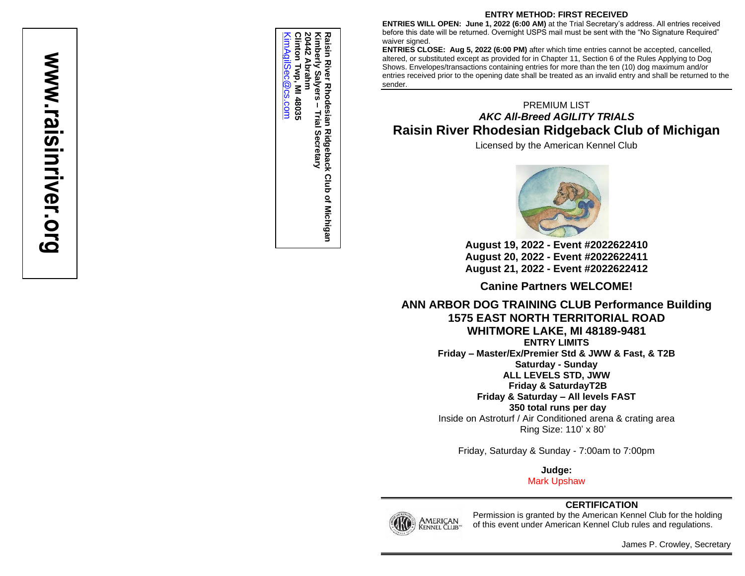# www.raisinriver.org **www.raisinriver.org**

Raisin Riv<br>Kimberly<br>20442 Abr<br>Clinton Tv **20442 Abrahm** [KimAgilSec@cs.com](mailto:KimAgilSec@cs.com) **Clinton Twp, MI 48035 Kimberly Salyers – Raisin River Rhodesian Ridgeback Club of Michigan** <u> KimAqilSec</u> **Abrahm** River Rhodesian Ridgeback Club of Michigan<br>rly Salyers – Trial Secretary Twp, Salyers-<u>യഭാ.com</u> MI 48035 **Trial Secretary**

#### **ENTRY METHOD: FIRST RECEIVED**

**ENTRIES WILL OPEN: June 1, 2022 (6:00 AM) at the Trial Secretary's address. All entries received** before this date will be returned. Overnight USPS mail must be sent with the "No Signature Required" waiver signed.

**ENTRIES CLOSE: Aug 5, 2022 (6:00 PM) after which time entries cannot be accepted, cancelled,** altered, or substituted except as provided for in Chapter 11, Section 6 of the Rules Applying to Dog Shows. Envelopes/transactions containing entries for more than the ten (10) dog maximum and/or entries received prior to the opening date shall be treated as an invalid entry and shall be returned to the sender.

## PREMIUM LIST *AKC All-Breed AGILITY TRIALS* **Raisin River Rhodesian Ridgeback Club of Michigan**

Licensed by the American Kennel Club



**August 19, 20 2 2 - Event #20 2 2622410 August 2 0, 20 2 2 - Event #20 2 2622411 August 2 1, 20 2 2 - Event #20 2 2622412**

**Canine Partners WELCOME!**

**ANN ARBOR DOG TRAINING CLUB Performance Building 1575 EAST NORTH TERRITORIAL ROAD WHITMORE LAKE, MI 48189 -9481 ENTRY LIMITS Friday – Master/Ex/Premier Std & JWW & Fast, & T2B Saturday - Sunday ALL LEVELS STD, JWW**

**Friday & SaturdayT2B**

**Friday & Saturday – All levels FAST**

**350 total runs per day** Inside on Astroturf / Air Conditioned arena & crating area Ring Size: 11 0 ' x 80 '

Friday, Saturday & Sunday - 7:00am to 7:00pm

**Judge :**

M ark Upshaw

## **CERTIFICATION**



Permission is granted by the American Kennel Club for the holding of this event under American Kennel Club rules and regulations .

James P. Crowley, Secretary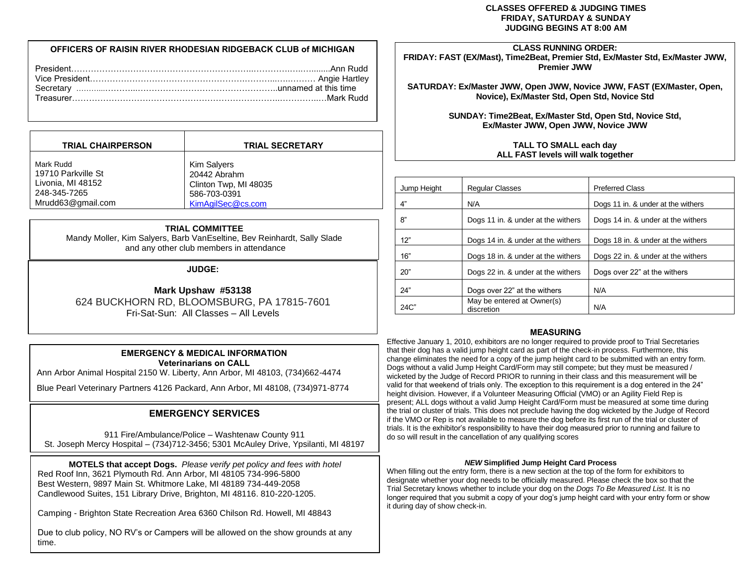#### **CLASSES OFFERED & JUDGING TIMES FRIDAY, SATURDAY & SUNDAY JUDGING BEGINS AT 8:00 AM**

#### **OFFICERS OF RAISIN RIVER RHODESIAN RIDGEBACK CLUB of MICHIGAN**

| <b>TRIAL CHAIRPERSON</b> | <b>TRIAL SECRETARY</b> |
|--------------------------|------------------------|
| Mark Rudd                | Kim Salyers            |
| 19710 Parkville St       | 20442 Abrahm           |
| Livonia, MI 48152        | Clinton Twp, MI 48035  |
| 248-345-7265             | 586-703-0391           |
| Mrudd63@gmail.com        | KimAgilSec@cs.com      |

#### **TRIAL COMMITTEE**

Mandy Moller, Kim Salyers, Barb VanEseltine, Bev Reinhardt, Sally Slade and any other club members in attendance

#### **JUDGE:**

**Mark Upshaw #53138** 624 BUCKHORN RD, BLOOMSBURG, PA 17815-7601 Fri-Sat-Sun: All Classes – All Levels

#### **EMERGENCY & MEDICAL INFORMATION Veterinarians on CALL**

Ann Arbor Animal Hospital 2150 W. Liberty, Ann Arbor, MI 48103, (734)662-4474

Blue Pearl Veterinary Partners 4126 Packard, Ann Arbor, MI 48108, (734)971-8774

#### **EMERGENCY SERVICES**

911 Fire/Ambulance/Police – Washtenaw County 911 St. Joseph Mercy Hospital – (734)712-3456; 5301 McAuley Drive, Ypsilanti, MI 48197

**MOTELS that accept Dogs.** *Please verify pet policy and fees with hotel* Red Roof Inn, 3621 Plymouth Rd. Ann Arbor, MI 48105 734-996-5800 Best Western, 9897 Main St. Whitmore Lake, MI 48189 734-449-2058 Candlewood Suites, 151 Library Drive, Brighton, MI 48116. 810-220-1205.

Camping - Brighton State Recreation Area 6360 Chilson Rd. Howell, MI 48843

Due to club policy, NO RV's or Campers will be allowed on the show grounds at any time.

#### **CLASS RUNNING ORDER:**

**FRIDAY: FAST (EX/Mast), Time2Beat, Premier Std, Ex/Master Std, Ex/Master JWW, Premier JWW**

**SATURDAY: Ex/Master JWW, Open JWW, Novice JWW, FAST (EX/Master, Open, Novice), Ex/Master Std, Open Std, Novice Std** 

> **SUNDAY: Time2Beat, Ex/Master Std, Open Std, Novice Std, Ex/Master JWW, Open JWW, Novice JWW**

#### **TALL TO SMALL each day ALL FAST levels will walk together**

| Jump Height | <b>Regular Classes</b>                   | <b>Preferred Class</b>             |  |
|-------------|------------------------------------------|------------------------------------|--|
| 4"          | N/A                                      | Dogs 11 in. & under at the withers |  |
| ጸ"          | Dogs 11 in. & under at the withers       | Dogs 14 in. & under at the withers |  |
| 12"         | Dogs 14 in. & under at the withers       | Dogs 18 in. & under at the withers |  |
| 16"         | Dogs 18 in. & under at the withers       | Dogs 22 in. & under at the withers |  |
| 20"         | Dogs 22 in. & under at the withers       | Dogs over 22" at the withers       |  |
| 24"         | Dogs over 22" at the withers             | N/A                                |  |
| 24C"        | May be entered at Owner(s)<br>discretion | N/A                                |  |

#### **MEASURING**

Effective January 1, 2010, exhibitors are no longer required to provide proof to Trial Secretaries that their dog has a valid jump height card as part of the check-in process. Furthermore, this change eliminates the need for a copy of the jump height card to be submitted with an entry form. Dogs without a valid Jump Height Card/Form may still compete; but they must be measured / wicketed by the Judge of Record PRIOR to running in their class and this measurement will be valid for that weekend of trials only. The exception to this requirement is a dog entered in the 24" height division. However, if a Volunteer Measuring Official (VMO) or an Agility Field Rep is present; ALL dogs without a valid Jump Height Card/Form must be measured at some time during the trial or cluster of trials. This does not preclude having the dog wicketed by the Judge of Record **W** if the VMO or Rep is not available to measure the dog before its first run of the trial or cluster of trials. It is the exhibitor's responsibility to have their dog measured prior to running and failure to do so will result in the cancellation of any qualifying scores

#### *NEW* **Simplified Jump Height Card Process**

When filling out the entry form, there is a new section at the top of the form for exhibitors to designate whether your dog needs to be officially measured. Please check the box so that the Trial Secretary knows whether to include your dog on the *Dogs To Be Measured List*. It is no longer required that you submit a copy of your dog's jump height card with your entry form or show it during day of show check-in.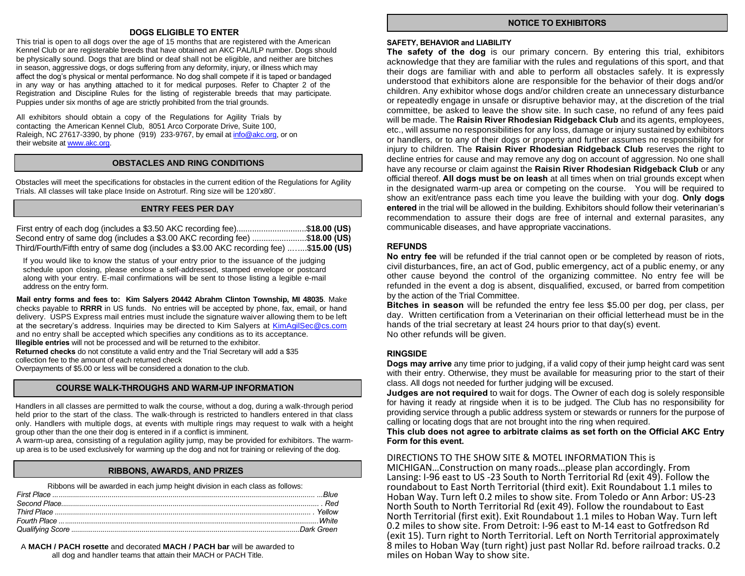#### **DOGS ELIGIBLE TO ENTER**

This trial is open to all dogs over the age of 15 months that are registered with the American Kennel Club or are registerable breeds that have obtained an AKC PAL/ILP number. Dogs should be physically sound. Dogs that are blind or deaf shall not be eligible, and neither are bitches in season, aggressive dogs, or dogs suffering from any deformity, injury, or illness which may affect the dog's physical or mental performance. No dog shall compete if it is taped or bandaged in any way or has anything attached to it for medical purposes. Refer to Chapter 2 of the Registration and Discipline Rules for the listing of registerable breeds that may participate. Puppies under six months of age are strictly prohibited from the trial grounds.

All exhibitors should obtain a copy of the Regulations for Agility Trials by contacting the American Kennel Club, 8051 Arco Corporate Drive, Suite 100, Raleigh, NC 27617-3390, by phone (919) 233-9767, by email at [info@akc.org,](https://d.docs.live.net/a70b628d7a6612c6/Documents%20and%20Settings/CR67064/Local%20Settings/Kim%20Salyers/Desktop/info@akc.org) or on their website at [www.akc.org.](http://www.akc.org/)

#### **OBSTACLES AND RING CONDITIONS**

Obstacles will meet the specifications for obstacles in the current edition of the Regulations for Agility Trials. All classes will take place Inside on Astroturf. Ring size will be 120'x80'.

#### **ENTRY FEES PER DAY**

| First entry of each dog (includes a \$3.50 AKC recording fee)\$18.00 (US)               |  |
|-----------------------------------------------------------------------------------------|--|
| Second entry of same dog (includes a \$3.00 AKC recording fee) \$18.00 (US)             |  |
| Third/Fourth/Fifth entry of same dog (includes a \$3.00 AKC recording fee) \$15.00 (US) |  |

If you would like to know the status of your entry prior to the issuance of the judging schedule upon closing, please enclose a self-addressed, stamped envelope or postcard along with your entry. E-mail confirmations will be sent to those listing a legible e-mail address on the entry form.

**Mail entry forms and fees to: Kim Salyers 20442 Abrahm Clinton Township, MI 48035**. Make checks payable to **RRRR** in US funds. No entries will be accepted by phone, fax, email, or hand delivery. USPS Express mail entries must include the signature waiver allowing them to be left at the secretary's address. Inquiries may be directed to Kim Salyers at [KimAgilSec@cs.com](mailto:KimAgilSec@cs.com) and no entry shall be accepted which specifies any conditions as to its acceptance. **Illegible entries** will not be processed and will be returned to the exhibitor.

**Returned checks** do not constitute a valid entry and the Trial Secretary will add a \$35 collection fee to the amount of each returned check

Overpayments of \$5.00 or less will be considered a donation to the club.

#### **COURSE WALK-THROUGHS AND WARM-UP INFORMATION**

Handlers in all classes are permitted to walk the course, without a dog, during a walk-through period held prior to the start of the class. The walk-through is restricted to handlers entered in that class only. Handlers with multiple dogs, at events with multiple rings may request to walk with a height group other than the one their dog is entered in if a conflict is imminent.

A warm-up area, consisting of a regulation agility jump, may be provided for exhibitors. The warmup area is to be used exclusively for warming up the dog and not for training or relieving of the dog.

#### **RIBBONS, AWARDS, AND PRIZES**

| Ribbons will be awarded in each jump height division in each class as follows: |  |
|--------------------------------------------------------------------------------|--|
|                                                                                |  |
|                                                                                |  |
|                                                                                |  |
|                                                                                |  |
|                                                                                |  |

A **MACH / PACH rosette** and decorated **MACH / PACH bar** will be awarded to all dog and handler teams that attain their MACH or PACH Title.

#### **NOTICE TO EXHIBITORS**

#### **SAFETY, BEHAVIOR and LIABILITY**

**The safety of the dog** is our primary concern. By entering this trial, exhibitors acknowledge that they are familiar with the rules and regulations of this sport, and that their dogs are familiar with and able to perform all obstacles safely. It is expressly understood that exhibitors alone are responsible for the behavior of their dogs and/or children. Any exhibitor whose dogs and/or children create an unnecessary disturbance or repeatedly engage in unsafe or disruptive behavior may, at the discretion of the trial committee, be asked to leave the show site. In such case, no refund of any fees paid will be made. The **Raisin River Rhodesian Ridgeback Club** and its agents, employees, etc., will assume no responsibilities for any loss, damage or injury sustained by exhibitors or handlers, or to any of their dogs or property and further assumes no responsibility for injury to children. The **Raisin River Rhodesian Ridgeback Club** reserves the right to decline entries for cause and may remove any dog on account of aggression. No one shall have any recourse or claim against the **Raisin River Rhodesian Ridgeback Club** or any official thereof. **All dogs must be on leash** at all times when on trial grounds except when in the designated warm-up area or competing on the course. You will be required to show an exit/entrance pass each time you leave the building with your dog. **Only dogs entered** in the trial will be allowed in the building. Exhibitors should follow their veterinarian's recommendation to assure their dogs are free of internal and external parasites, any communicable diseases, and have appropriate vaccinations.

#### **REFUNDS**

**No entry fee** will be refunded if the trial cannot open or be completed by reason of riots, civil disturbances, fire, an act of God, public emergency, act of a public enemy, or any other cause beyond the control of the organizing committee. No entry fee will be refunded in the event a dog is absent, disqualified, excused, or barred from competition by the action of the Trial Committee.

**Bitches in season** will be refunded the entry fee less \$5.00 per dog, per class, per day. Written certification from a Veterinarian on their official letterhead must be in the hands of the trial secretary at least 24 hours prior to that day(s) event. No other refunds will be given.

#### **RINGSIDE**

**Dogs may arrive** any time prior to judging, if a valid copy of their jump height card was sent with their entry. Otherwise, they must be available for measuring prior to the start of their class. All dogs not needed for further judging will be excused.

**Judges are not required** to wait for dogs. The Owner of each dog is solely responsible for having it ready at ringside when it is to be judged. The Club has no responsibility for providing service through a public address system or stewards or runners for the purpose of calling or locating dogs that are not brought into the ring when required.

**This club does not agree to arbitrate claims as set forth on the Official AKC Entry Form for this event.**

#### DIRECTIONS TO THE SHOW SITE & MOTEL INFORMATION This is

MICHIGAN…Construction on many roads…please plan accordingly. From Lansing: I-96 east to US -23 South to North Territorial Rd (exit 49). Follow the roundabout to East North Territorial (third exit). Exit Roundabout 1.1 miles to Hoban Way. Turn left 0.2 miles to show site. From Toledo or Ann Arbor: US-23 North South to North Territorial Rd (exit 49). Follow the roundabout to East North Territorial (first exit). Exit Roundabout 1.1 miles to Hoban Way. Turn left 0.2 miles to show site. From Detroit: I-96 east to M-14 east to Gotfredson Rd (exit 15). Turn right to North Territorial. Left on North Territorial approximately 8 miles to Hoban Way (turn right) just past Nollar Rd. before railroad tracks. 0.2 miles on Hoban Way to show site.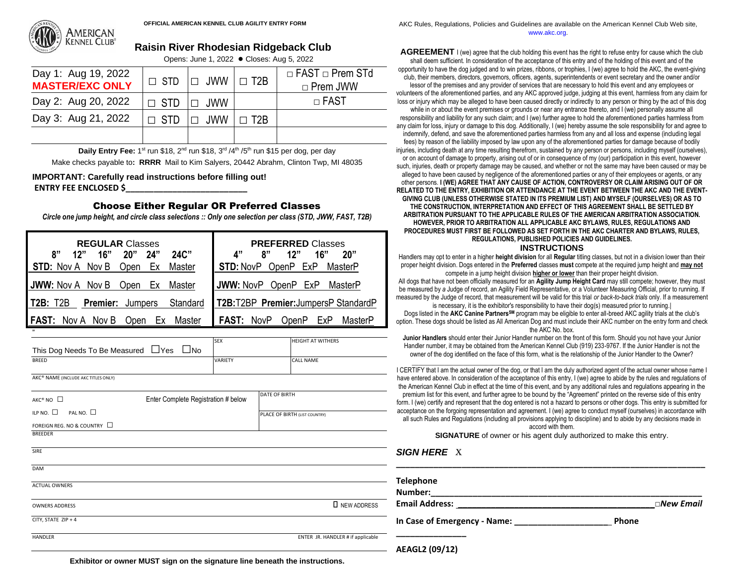

# **Raisin River Rhodesian Ridgeback Club**

Opens: June 1, 2022 **●** Closes: Aug 5, 2022

| Day 1: Aug 19, 2022<br><b>MASTER/EXC ONLY</b> | $\Box$ STD $\Box$ JWW $\Box$ T2B |            | $\Box$ FAST $\Box$ Prem STd<br>$\Box$ Prem JWW |
|-----------------------------------------------|----------------------------------|------------|------------------------------------------------|
| Day 2: Aug 20, 2022                           | $\Box$ STD $\Box$ JWW            |            | $\Box$ FAST                                    |
| Day 3: Aug 21, 2022                           | $\Box$ STD $\Box$ JWW $\Box$     | $\Box$ T2R |                                                |
|                                               |                                  |            |                                                |

Daily Entry Fee: 1<sup>st</sup> run \$18, 2<sup>nd</sup> run \$18, 3<sup>rd</sup> /4<sup>th</sup> /5<sup>th</sup> run \$15 per dog, per day Make checks payable to**: RRRR** Mail to Kim Salyers, 20442 Abrahm, Clinton Twp, MI 48035

#### **IMPORTANT: Carefully read instructions before filling out! ENTRY FEE ENCLOSED \$\_\_\_\_\_\_\_\_\_\_\_\_\_\_\_\_\_\_\_\_\_\_\_\_\_\_**

#### Choose Either Regular OR Preferred Classes

*Circle one jump height, and circle class selections :: Only one selection per class (STD, JWW, FAST, T2B)*

| <b>REGULAR Classes</b>                             | <b>PREFERRED Classes</b>                     |
|----------------------------------------------------|----------------------------------------------|
| 24"<br>$24C$ "<br>8"<br>16"<br>20"<br>12"          | Д"<br>16"<br>8"<br>12"<br>20"                |
| Ex<br><b>STD:</b> Nov A Nov B<br>Master<br>Open    | MasterP<br><b>STD: NovP OpenP ExP</b>        |
| <b>JWW:</b> Nov A Nov B<br>Ex<br>Master<br>Open    | <b>JWW: NovP</b><br>OpenP ExP<br>MasterP     |
| <b>Premier: Jumpers</b><br>Standard<br>T2B<br>T2B: | T2B:T2BP Premier: JumpersP StandardP         |
| <b>FAST:</b> Nov A Nov B<br>Master<br>Open<br>ЕX   | <b>FAST: NovP</b><br>OpenP<br>MasterP<br>⊢xP |

|                                        | <b>SEX</b> | <b>HEIGHT AT WITHERS</b> |
|----------------------------------------|------------|--------------------------|
| This Dog Needs To Be Measured ∐Yes ∐No |            |                          |
| <b>BREED</b>                           | VARIETY    | <b>CALL NAME</b>         |
|                                        |            |                          |

AKC® NAME (INCLUDE AKC TITLES ONLY)

"

| AKC® NO □                              | Enter Complete Registration # below | DATE OF BIRTH                     |  |
|----------------------------------------|-------------------------------------|-----------------------------------|--|
| ILP NO. $\square$<br>PAL NO. $\square$ |                                     | PLACE OF BIRTH (LIST COUNTRY)     |  |
| FOREIGN REG. NO & COUNTRY □            |                                     |                                   |  |
| <b>BREEDER</b>                         |                                     |                                   |  |
| <b>SIRE</b>                            |                                     |                                   |  |
| <b>DAM</b>                             |                                     |                                   |  |
| <b>ACTUAL OWNERS</b>                   |                                     |                                   |  |
| <b>OWNERS ADDRESS</b>                  |                                     | <b>I</b> NEW ADDRESS              |  |
| CITY, STATE ZIP + 4                    |                                     |                                   |  |
| <b>HANDLER</b>                         |                                     | ENTER JR. HANDLER # if applicable |  |

OFFICIAL AMERICAN KENNEL CLUB AGILITY ENTRY FORM **ANDITION ASSESS** AND AKC Rules, Regulations, Policies and Guidelines are available on the American Kennel Club Web site, www.akc.org.

> **AGREEMENT** I (we) agree that the club holding this event has the right to refuse entry for cause which the club shall deem sufficient. In consideration of the acceptance of this entry and of the holding of this event and of the opportunity to have the dog judged and to win prizes, ribbons, or trophies, I (we) agree to hold the AKC, the event-giving club, their members, directors, governors, officers, agents, superintendents or event secretary and the owner and/or lessor of the premises and any provider of services that are necessary to hold this event and any employees or volunteers of the aforementioned parties, and any AKC approved judge, judging at this event, harmless from any claim for loss or injury which may be alleged to have been caused directly or indirectly to any person or thing by the act of this dog while in or about the event premises or grounds or near any entrance thereto, and I (we) personally assume all responsibility and liability for any such claim; and I (we) further agree to hold the aforementioned parties harmless from any claim for loss, injury or damage to this dog. Additionally, I (we) hereby assume the sole responsibility for and agree to indemnify, defend, and save the aforementioned parties harmless from any and all loss and expense (including legal fees) by reason of the liability imposed by law upon any of the aforementioned parties for damage because of bodily injuries, including death at any time resulting therefrom, sustained by any person or persons, including myself (ourselves), or on account of damage to property, arising out of or in consequence of my (our) participation in this event, however such, injuries, death or property damage may be caused, and whether or not the same may have been caused or may be alleged to have been caused by negligence of the aforementioned parties or any of their employees or agents, or any other persons. **I (WE) AGREE THAT ANY CAUSE OF ACTION, CONTROVERSY OR CLAIM ARISING OUT OF OR RELATED TO THE ENTRY, EXHIBITION OR ATTENDANCE AT THE EVENT BETWEEN THE AKC AND THE EVENT-GIVING CLUB (UNLESS OTHERWISE STATED IN ITS PREMIUM LIST) AND MYSELF (OURSELVES) OR AS TO THE CONSTRUCTION, INTERPRETATION AND EFFECT OF THIS AGREEMENT SHALL BE SETTLED BY ARBITRATION PURSUANT TO THE APPLICABLE RULES OF THE AMERICAN ARBITRATION ASSOCIATION. HOWEVER, PRIOR TO ARBITRATION ALL APPLICABLE AKC BYLAWS, RULES, REGULATIONS AND PROCEDURES MUST FIRST BE FOLLOWED AS SET FORTH IN THE AKC CHARTER AND BYLAWS, RULES, REGULATIONS, PUBLISHED POLICIES AND GUIDELINES. INSTRUCTIONS**

> Handlers may opt to enter in a higher **height division** for all **Regular** titling classes, but not in a division lower than their proper height division. Dogs entered in the **Preferred** classes **must** compete at the required jump height and **may not** compete in a jump height division **higher or lower** than their proper height division.

All dogs that have not been officially measured for an **Agility Jump Height Card** may still compete; however, they must be measured by *a* Judge of record, an Agility Field Representative, or a Volunteer Measuring Official, prior to running. If measured by the Judge of record, that measurement will be valid for this trial *or back-to-back trials* only. If a measurement

is necessary, it is the exhibitor's responsibility to have their dog(s) measured prior to running.| Dogs listed in the **AKC Canine PartnersSM** program may be eligible to enter all-breed AKC agility trials at the club's option. These dogs should be listed as All American Dog and must include their AKC number on the entry form and check the AKC No. box.

**Junior Handlers** should enter their Junior Handler number on the front of this form. Should you not have your Junior Handler number, it may be obtained from the American Kennel Club (919) 233-9767. If the Junior Handler is not the owner of the dog identified on the face of this form, what is the relationship of the Junior Handler to the Owner?

\_\_\_\_\_\_\_\_\_\_\_\_\_\_\_\_\_\_\_\_\_\_\_\_\_\_\_\_\_\_\_\_\_\_\_\_\_\_\_\_\_\_\_\_\_\_\_\_\_\_\_\_\_\_\_\_\_\_\_\_\_\_\_\_\_\_\_\_\_\_\_\_\_\_\_\_\_\_\_\_\_\_\_\_\_\_\_ I CERTIFY that I am the actual owner of the dog, or that I am the duly authorized agent of the actual owner whose name I have entered above. In consideration of the acceptance of this entry, I (we) agree to abide by the rules and regulations of the American Kennel Club in effect at the time of this event, and by any additional rules and regulations appearing in the premium list for this event, and further agree to be bound by the "Agreement" printed on the reverse side of this entry form. I (we) certify and represent that the dog entered is not a hazard to persons or other dogs. This entry is submitted for acceptance on the forgoing representation and agreement. I (we) agree to conduct myself (ourselves) in accordance with all such Rules and Regulations (including all provisions applying to discipline) and to abide by any decisions made in accord with them.

**SIGNATURE** of owner or his agent duly authorized to make this entry.

*SIGN HERE* X

| <b>Telephone</b>             |                     |
|------------------------------|---------------------|
| Number:                      |                     |
| <b>Email Address:</b>        | $\square$ New Email |
| In Case of Emergency - Name: | <b>Phone</b>        |

**AEAGL2 (09/12)** 

**\_\_\_\_\_\_\_\_\_\_\_\_\_\_\_**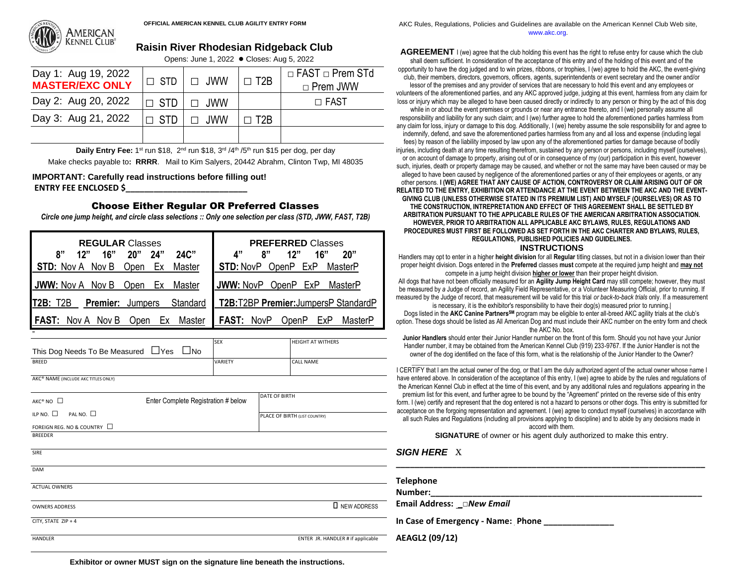

# **Raisin River Rhodesian Ridgeback Club**

Opens: June 1, 2022 **●** Closes: Aug 5, 2022

| Day 1: Aug 19, 2022<br><b>MASTER/EXC ONLY</b> |                   | $\Box$ STD $\Box$ JWW | $\Box$ T <sub>2B</sub>  | $\Box$ FAST $\Box$ Prem STd<br>□ Prem JWW |
|-----------------------------------------------|-------------------|-----------------------|-------------------------|-------------------------------------------|
| Day 2: Aug 20, 2022                           | $\Box$ STD $\Box$ | $\Box$ JWW            |                         | $\Box$ FAST                               |
| Day 3: Aug 21, 2022                           | $\Box$ STD        | $\Box$ JWW            | $\Box$ T <sub>2</sub> R |                                           |
|                                               |                   |                       |                         |                                           |

Daily Entry Fee: 1<sup>st</sup> run \$18, 2<sup>nd</sup> run \$18, 3<sup>rd</sup> /4<sup>th</sup> /5<sup>th</sup> run \$15 per dog, per day

Make checks payable to**: RRRR**. Mail to Kim Salyers, 20442 Abrahm, Clinton Twp, MI 48035

#### **IMPORTANT: Carefully read instructions before filling out! ENTRY FEE ENCLOSED \$\_\_\_\_\_\_\_\_\_\_\_\_\_\_\_\_\_\_\_\_\_\_\_\_\_\_**

#### Choose Either Regular OR Preferred Classes

*Circle one jump height, and circle class selections :: Only one selection per class (STD, JWW, FAST, T2B)*

| <b>REGULAR Classes</b>                                 | <b>PREFERRED Classes</b>                     |
|--------------------------------------------------------|----------------------------------------------|
| 8"<br>12"<br>16"<br>20"<br><b>24"</b><br>24C"          | Δ"<br>ጸ"<br>16"<br>20"<br>12"                |
| STD: Nov A Nov B<br>Open<br>Ex<br>Master               | <b>STD: NovP OpenP ExP</b><br>MasterP        |
| JWW: Nov A Nov B<br>Open<br>Master<br>Ex               | <b>JWW: NovP OpenP ExP</b><br>MasterP        |
| <b>T2B: T2B</b><br><b>Premier:</b> Jumpers<br>Standard | T2B:T2BP Premier: JumpersP StandardP         |
| I FAST:<br>Nov A Nov B<br>Master<br>Open<br>Еx         | <b>FAST: NovP</b><br>OpenP<br>MasterP<br>ExP |

|                                                    |  | <b>SEX</b>     | <b>HEIGHT AT WITHERS</b> |  |
|----------------------------------------------------|--|----------------|--------------------------|--|
| This Dog Needs To Be Measured $\Box$ Yes $\Box$ No |  |                |                          |  |
| <b>BREED</b>                                       |  | <b>VARIETY</b> | <b>CALL NAME</b>         |  |
|                                                    |  |                |                          |  |
|                                                    |  |                |                          |  |

AKC® NAME (INCLUDE AKC TITLES ONLY)

"

| $AKC^*NO$ $\square$                    | Enter Complete Registration # below | DATE OF BIRTH                     | premium list for this event, and further agree to be bound by the "Agreement" printed on the reverse side of this entry<br>form. I (we) certify and represent that the dog entered is not a hazard to persons or other dogs. This entry is submitted for |
|----------------------------------------|-------------------------------------|-----------------------------------|----------------------------------------------------------------------------------------------------------------------------------------------------------------------------------------------------------------------------------------------------------|
| ILP NO. $\square$<br>PAL NO. $\square$ |                                     | PLACE OF BIRTH (LIST COUNTRY)     | acceptance on the forgoing representation and agreement. I (we) agree to conduct myself (ourselves) in accordance with<br>all such Rules and Regulations (including all provisions applying to discipline) and to abide by any decisions made in         |
| FOREIGN REG. NO & COUNTRY $\Box$       |                                     |                                   | accord with them.                                                                                                                                                                                                                                        |
| BREEDER                                |                                     |                                   | <b>SIGNATURE</b> of owner or his agent duly authorized to make this entry.                                                                                                                                                                               |
| SIRE                                   |                                     |                                   | <b>SIGN HERE X</b>                                                                                                                                                                                                                                       |
| <b>DAM</b>                             |                                     |                                   |                                                                                                                                                                                                                                                          |
|                                        |                                     |                                   | <b>Telephone</b>                                                                                                                                                                                                                                         |
| <b>ACTUAL OWNERS</b>                   |                                     |                                   | Number:                                                                                                                                                                                                                                                  |
| <b>OWNERS ADDRESS</b>                  |                                     | <b>I</b> NEW ADDRESS              | Email Address: _□New Email                                                                                                                                                                                                                               |
| CITY, STATE ZIP + 4                    |                                     |                                   | In Case of Emergency - Name: Phone                                                                                                                                                                                                                       |
| HANDLER                                |                                     | ENTER JR. HANDLER # if applicable | AEAGL2 (09/12)                                                                                                                                                                                                                                           |
|                                        |                                     |                                   |                                                                                                                                                                                                                                                          |

OFFICIAL AMERICAN KENNEL CLUB AGILITY ENTRY FORM **ANDITION ASSESS** AND AKC Rules, Regulations, Policies and Guidelines are available on the American Kennel Club Web site, www.akc.org.

> **AGREEMENT** I (we) agree that the club holding this event has the right to refuse entry for cause which the club shall deem sufficient. In consideration of the acceptance of this entry and of the holding of this event and of the opportunity to have the dog judged and to win prizes, ribbons, or trophies, I (we) agree to hold the AKC, the event-giving club, their members, directors, governors, officers, agents, superintendents or event secretary and the owner and/or lessor of the premises and any provider of services that are necessary to hold this event and any employees or volunteers of the aforementioned parties, and any AKC approved judge, judging at this event, harmless from any claim for loss or injury which may be alleged to have been caused directly or indirectly to any person or thing by the act of this dog while in or about the event premises or grounds or near any entrance thereto, and I (we) personally assume all responsibility and liability for any such claim; and I (we) further agree to hold the aforementioned parties harmless from any claim for loss, injury or damage to this dog. Additionally, I (we) hereby assume the sole responsibility for and agree to indemnify, defend, and save the aforementioned parties harmless from any and all loss and expense (including legal fees) by reason of the liability imposed by law upon any of the aforementioned parties for damage because of bodily injuries, including death at any time resulting therefrom, sustained by any person or persons, including myself (ourselves), or on account of damage to property, arising out of or in consequence of my (our) participation in this event, however such, injuries, death or property damage may be caused, and whether or not the same may have been caused or may be alleged to have been caused by negligence of the aforementioned parties or any of their employees or agents, or any other persons. **I (WE) AGREE THAT ANY CAUSE OF ACTION, CONTROVERSY OR CLAIM ARISING OUT OF OR RELATED TO THE ENTRY, EXHIBITION OR ATTENDANCE AT THE EVENT BETWEEN THE AKC AND THE EVENT-GIVING CLUB (UNLESS OTHERWISE STATED IN ITS PREMIUM LIST) AND MYSELF (OURSELVES) OR AS TO THE CONSTRUCTION, INTREPRETATION AND EFFECT OF THIS AGREEMENT SHALL BE SETTLED BY ARBITRATION PURSUANT TO THE APPLICABLE RULES OF THE AMERICAN ARBITRATION ASSOCIATION. HOWEVER, PRIOR TO ARBITRATION ALL APPLICABLE AKC BYLAWS, RULES, REGULATIONS AND PROCEDURES MUST FIRST BE FOLLOWED AS SET FORTH IN THE AKC CHARTER AND BYLAWS, RULES, REGULATIONS, PUBLISHED POLICIES AND GUIDELINES. INSTRUCTIONS**

> Handlers may opt to enter in a higher **height division** for all **Regular** titling classes, but not in a division lower than their proper height division. Dogs entered in the **Preferred** classes **must** compete at the required jump height and **may not** compete in a jump height division **higher or lower** than their proper height division.

All dogs that have not been officially measured for an **Agility Jump Height Card** may still compete; however, they must be measured by *a* Judge of record, an Agility Field Representative, or a Volunteer Measuring Official, prior to running. If measured by the Judge of record, that measurement will be valid for this trial *or back-to-back trials* only. If a measurement

is necessary, it is the exhibitor's responsibility to have their dog(s) measured prior to running.| Dogs listed in the **AKC Canine PartnersSM** program may be eligible to enter all-breed AKC agility trials at the club's option. These dogs should be listed as All American Dog and must include their AKC number on the entry form and check the AKC No. box.

**Junior Handlers** should enter their Junior Handler number on the front of this form. Should you not have your Junior Handler number, it may be obtained from the American Kennel Club (919) 233-9767. If the Junior Handler is not the owner of the dog identified on the face of this form, what is the relationship of the Junior Handler to the Owner?

\_\_\_\_\_\_\_\_\_\_\_\_\_\_\_\_\_\_\_\_\_\_\_\_\_\_\_\_\_\_\_\_\_\_\_\_\_\_\_\_\_\_\_\_\_\_\_\_\_\_\_\_\_\_\_\_\_\_\_\_\_\_\_\_\_\_\_\_\_\_\_\_\_\_\_\_\_\_\_\_\_\_\_\_\_\_\_ I CERTIFY that I am the actual owner of the dog, or that I am the duly authorized agent of the actual owner whose name I have entered above. In consideration of the acceptance of this entry, I (we) agree to abide by the rules and regulations of the American Kennel Club in effect at the time of this event, and by any additional rules and regulations appearing in the premium list for this event, and further agree to be bound by the "Agreement" printed on the reverse side of this entry form. I (we) certify and represent that the dog entered is not a hazard to persons or other dogs. This entry is submitted for acceptance on the forgoing representation and agreement. I (we) agree to conduct myself (ourselves) in accordance with all such Rules and Regulations (including all provisions applying to discipline) and to abide by any decisions made in accord with them.

**Exhibitor or owner MUST sign on the signature line beneath the instructions.**